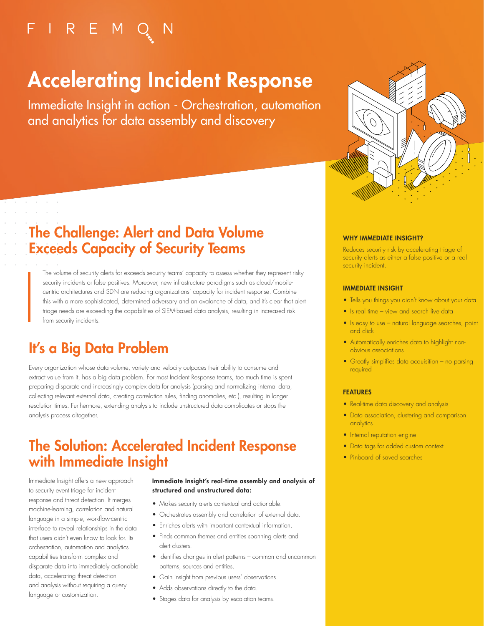## $F \mid R \in M Q$

# Accelerating Incident Response

Immediate Insight in action - Orchestration, automation and analytics for data assembly and discovery



### The Challenge: Alert and Data Volume Exceeds Capacity of Security Teams

The volume of security alerts far exceeds security teams' capacity to assess whether they represent risky security incidents or false positives. Moreover, new infrastructure paradigms such as cloud/mobilecentric architectures and SDN are reducing organizations' capacity for incident response. Combine this with a more sophisticated, determined adversary and an avalanche of data, and it's clear that alert triage needs are exceeding the capabilities of SIEM-based data analysis, resulting in increased risk from security incidents.

### It's a Big Data Problem

and a strain of and a state

> Every organization whose data volume, variety and velocity outpaces their ability to consume and extract value from it, has a big data problem. For most Incident Response teams, too much time is spent preparing disparate and increasingly complex data for analysis (parsing and normalizing internal data, collecting relevant external data, creating correlation rules, finding anomalies, etc.), resulting in longer resolution times. Furthermore, extending analysis to include unstructured data complicates or stops the analysis process altogether.

### The Solution: Accelerated Incident Response with Immediate Insight

Immediate Insight offers a new approach to security event triage for incident response and threat detection. It merges machine-learning, correlation and natural language in a simple, workflow-centric interface to reveal relationships in the data that users didn't even know to look for. Its orchestration, automation and analytics capabilities transform complex and disparate data into immediately actionable data, accelerating threat detection and analysis without requiring a query language or customization.

#### Immediate Insight's real-time assembly and analysis of structured and unstructured data:

- Makes security alerts contextual and actionable.
- Orchestrates assembly and correlation of external data.
- Enriches alerts with important contextual information.
- Finds common themes and entities spanning alerts and alert clusters.
- Identifies changes in alert patterns common and uncommon patterns, sources and entities.
- Gain insight from previous users' observations.
- Adds observations directly to the data.
- Stages data for analysis by escalation teams.

#### WHY IMMEDIATE INSIGHT?

Reduces security risk by accelerating triage of security alerts as either a false positive or a real security incident.

#### IMMEDIATE INSIGHT

- Tells you things you didn't know about your data.
- Is real time view and search live data
- Is easy to use natural language searches, point and click
- Automatically enriches data to highlight nonobvious associations
- Greatly simplifies data acquisition no parsing required

#### **FEATURES**

- Real-time data discovery and analysis
- Data association, clustering and comparison analytics
- Internal reputation engine
- Data tags for added custom context
- Pinboard of saved searches